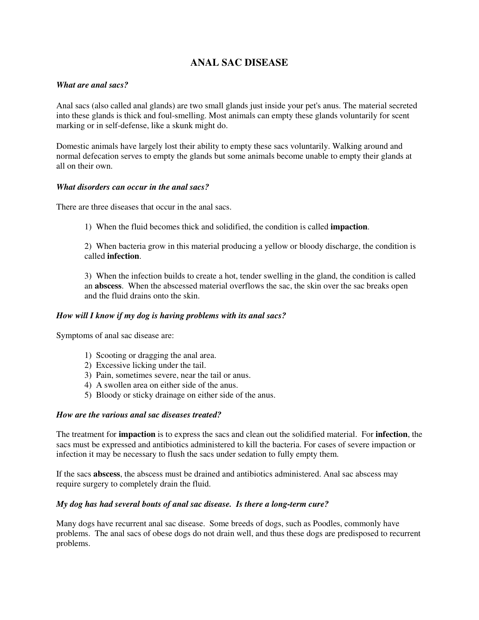# **ANAL SAC DISEASE**

## *What are anal sacs?*

Anal sacs (also called anal glands) are two small glands just inside your pet's anus. The material secreted into these glands is thick and foul-smelling. Most animals can empty these glands voluntarily for scent marking or in self-defense, like a skunk might do.

Domestic animals have largely lost their ability to empty these sacs voluntarily. Walking around and normal defecation serves to empty the glands but some animals become unable to empty their glands at all on their own.

### *What disorders can occur in the anal sacs?*

There are three diseases that occur in the anal sacs.

1) When the fluid becomes thick and solidified, the condition is called **impaction**.

2) When bacteria grow in this material producing a yellow or bloody discharge, the condition is called **infection**.

3) When the infection builds to create a hot, tender swelling in the gland, the condition is called an **abscess**. When the abscessed material overflows the sac, the skin over the sac breaks open and the fluid drains onto the skin.

#### *How will I know if my dog is having problems with its anal sacs?*

Symptoms of anal sac disease are:

- 1) Scooting or dragging the anal area.
- 2) Excessive licking under the tail.
- 3) Pain, sometimes severe, near the tail or anus.
- 4) A swollen area on either side of the anus.
- 5) Bloody or sticky drainage on either side of the anus.

#### *How are the various anal sac diseases treated?*

The treatment for **impaction** is to express the sacs and clean out the solidified material. For **infection**, the sacs must be expressed and antibiotics administered to kill the bacteria. For cases of severe impaction or infection it may be necessary to flush the sacs under sedation to fully empty them.

If the sacs **abscess**, the abscess must be drained and antibiotics administered. Anal sac abscess may require surgery to completely drain the fluid.

#### *My dog has had several bouts of anal sac disease. Is there a long-term cure?*

Many dogs have recurrent anal sac disease. Some breeds of dogs, such as Poodles, commonly have problems. The anal sacs of obese dogs do not drain well, and thus these dogs are predisposed to recurrent problems.